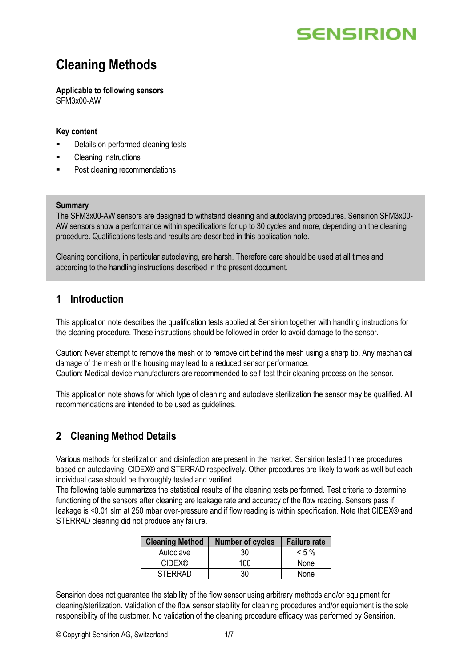## **Cleaning Methods**

**Applicable to following sensors** SFM3x00-AW

#### **Key content**

- Details on performed cleaning tests
- Cleaning instructions
- Post cleaning recommendations

#### **Summary**

The SFM3x00-AW sensors are designed to withstand cleaning and autoclaving procedures. Sensirion SFM3x00- AW sensors show a performance within specifications for up to 30 cycles and more, depending on the cleaning procedure. Qualifications tests and results are described in this application note.

Cleaning conditions, in particular autoclaving, are harsh. Therefore care should be used at all times and according to the handling instructions described in the present document.

### **1 Introduction**

This application note describes the qualification tests applied at Sensirion together with handling instructions for the cleaning procedure. These instructions should be followed in order to avoid damage to the sensor.

Caution: Never attempt to remove the mesh or to remove dirt behind the mesh using a sharp tip. Any mechanical damage of the mesh or the housing may lead to a reduced sensor performance. Caution: Medical device manufacturers are recommended to self-test their cleaning process on the sensor.

This application note shows for which type of cleaning and autoclave sterilization the sensor may be qualified. All recommendations are intended to be used as guidelines.

### **2 Cleaning Method Details**

Various methods for sterilization and disinfection are present in the market. Sensirion tested three procedures based on autoclaving, CIDEX® and STERRAD respectively. Other procedures are likely to work as well but each individual case should be thoroughly tested and verified.

The following table summarizes the statistical results of the cleaning tests performed. Test criteria to determine functioning of the sensors after cleaning are leakage rate and accuracy of the flow reading. Sensors pass if leakage is <0.01 slm at 250 mbar over-pressure and if flow reading is within specification. Note that CIDEX® and STERRAD cleaning did not produce any failure.

| <b>Cleaning Method</b> | <b>Number of cycles</b> | <b>Failure rate</b> |
|------------------------|-------------------------|---------------------|
| Autoclave              | 30                      | $< 5 \%$            |
| <b>CIDEX®</b>          | 100                     | None                |
| <b>STERRAD</b>         | 30                      | None                |

Sensirion does not guarantee the stability of the flow sensor using arbitrary methods and/or equipment for cleaning/sterilization. Validation of the flow sensor stability for cleaning procedures and/or equipment is the sole responsibility of the customer. No validation of the cleaning procedure efficacy was performed by Sensirion.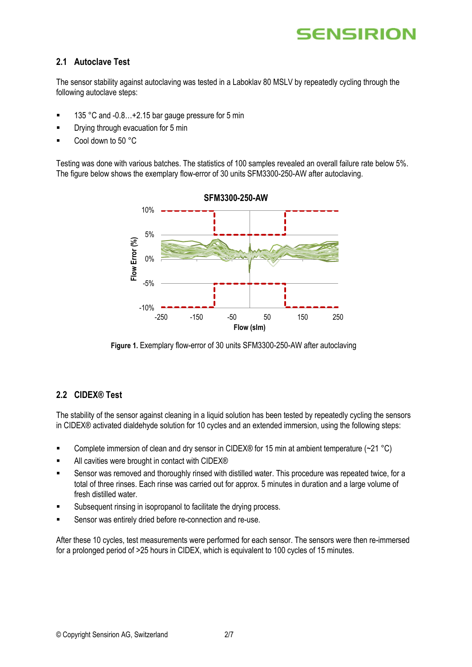

#### **2.1 Autoclave Test**

The sensor stability against autoclaving was tested in a Laboklav 80 MSLV by repeatedly cycling through the following autoclave steps:

- 135 °C and -0.8... + 2.15 bar gauge pressure for 5 min
- **•** Drying through evacuation for 5 min
- Cool down to  $50 °C$

Testing was done with various batches. The statistics of 100 samples revealed an overall failure rate below 5%. The figure below shows the exemplary flow-error of 30 units SFM3300-250-AW after autoclaving.



**Figure 1.** Exemplary flow-error of 30 units SFM3300-250-AW after autoclaving

#### **2.2 CIDEX® Test**

The stability of the sensor against cleaning in a liquid solution has been tested by repeatedly cycling the sensors in CIDEX® activated dialdehyde solution for 10 cycles and an extended immersion, using the following steps:

- **•** Complete immersion of clean and dry sensor in CIDEX® for 15 min at ambient temperature  $(-21 \degree C)$
- All cavities were brought in contact with CIDEX<sup>®</sup>
- Sensor was removed and thoroughly rinsed with distilled water. This procedure was repeated twice, for a total of three rinses. Each rinse was carried out for approx. 5 minutes in duration and a large volume of fresh distilled water.
- Subsequent rinsing in isopropanol to facilitate the drying process.
- Sensor was entirely dried before re-connection and re-use.

After these 10 cycles, test measurements were performed for each sensor. The sensors were then re-immersed for a prolonged period of >25 hours in CIDEX, which is equivalent to 100 cycles of 15 minutes.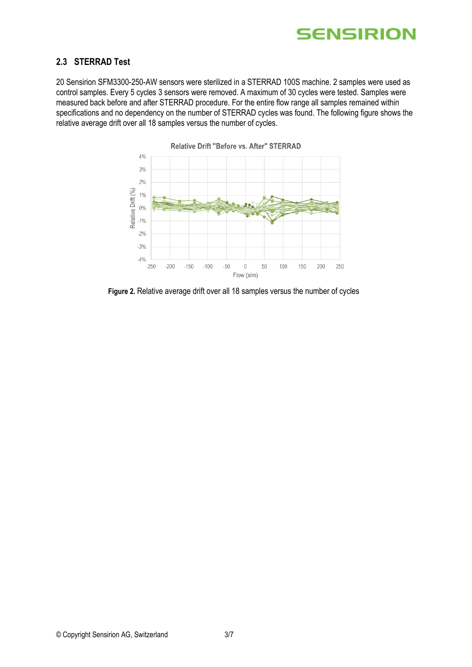

#### **2.3 STERRAD Test**

20 Sensirion SFM3300-250-AW sensors were sterilized in a STERRAD 100S machine. 2 samples were used as control samples. Every 5 cycles 3 sensors were removed. A maximum of 30 cycles were tested. Samples were measured back before and after STERRAD procedure. For the entire flow range all samples remained within specifications and no dependency on the number of STERRAD cycles was found. The following figure shows the relative average drift over all 18 samples versus the number of cycles.



Relative Drift "Before vs. After" STERRAD

**Figure 2.** Relative average drift over all 18 samples versus the number of cycles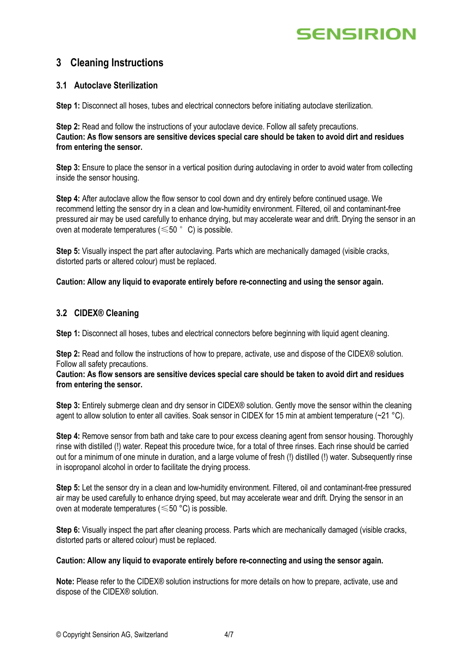## **3 Cleaning Instructions**

#### **3.1 Autoclave Sterilization**

**Step 1:** Disconnect all hoses, tubes and electrical connectors before initiating autoclave sterilization.

**Step 2:** Read and follow the instructions of your autoclave device. Follow all safety precautions. **Caution: As flow sensors are sensitive devices special care should be taken to avoid dirt and residues from entering the sensor.**

**Step 3:** Ensure to place the sensor in a vertical position during autoclaving in order to avoid water from collecting inside the sensor housing.

**Step 4:** After autoclave allow the flow sensor to cool down and dry entirely before continued usage. We recommend letting the sensor dry in a clean and low-humidity environment. Filtered, oil and contaminant-free pressured air may be used carefully to enhance drying, but may accelerate wear and drift. Drying the sensor in an oven at moderate temperatures ( $\leq 50$   $\degree$  C) is possible.

**Step 5:** Visually inspect the part after autoclaving. Parts which are mechanically damaged (visible cracks, distorted parts or altered colour) must be replaced.

**Caution: Allow any liquid to evaporate entirely before re-connecting and using the sensor again.**

#### **3.2 CIDEX® Cleaning**

**Step 1:** Disconnect all hoses, tubes and electrical connectors before beginning with liquid agent cleaning.

**Step 2:** Read and follow the instructions of how to prepare, activate, use and dispose of the CIDEX® solution. Follow all safety precautions.

#### **Caution: As flow sensors are sensitive devices special care should be taken to avoid dirt and residues from entering the sensor.**

**Step 3:** Entirely submerge clean and dry sensor in CIDEX® solution. Gently move the sensor within the cleaning agent to allow solution to enter all cavities. Soak sensor in CIDEX for 15 min at ambient temperature (~21 °C).

**Step 4:** Remove sensor from bath and take care to pour excess cleaning agent from sensor housing. Thoroughly rinse with distilled (!) water. Repeat this procedure twice, for a total of three rinses. Each rinse should be carried out for a minimum of one minute in duration, and a large volume of fresh (!) distilled (!) water. Subsequently rinse in isopropanol alcohol in order to facilitate the drying process.

**Step 5:** Let the sensor dry in a clean and low-humidity environment. Filtered, oil and contaminant-free pressured air may be used carefully to enhance drying speed, but may accelerate wear and drift. Drying the sensor in an oven at moderate temperatures (≤50 °C) is possible.

**Step 6:** Visually inspect the part after cleaning process. Parts which are mechanically damaged (visible cracks, distorted parts or altered colour) must be replaced.

#### **Caution: Allow any liquid to evaporate entirely before re-connecting and using the sensor again.**

**Note:** Please refer to the CIDEX® solution instructions for more details on how to prepare, activate, use and dispose of the CIDEX® solution.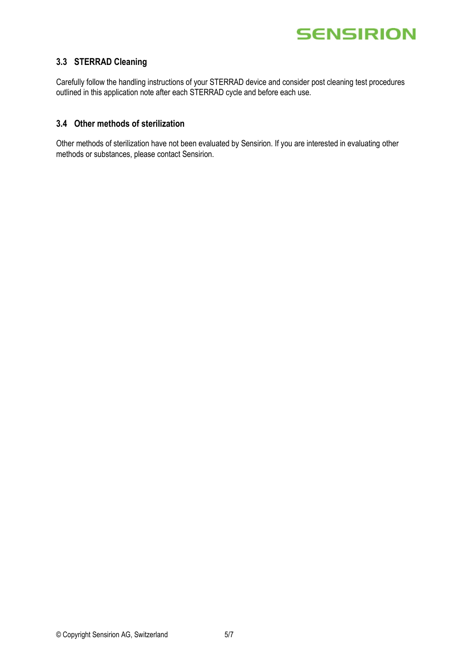

#### **3.3 STERRAD Cleaning**

Carefully follow the handling instructions of your STERRAD device and consider post cleaning test procedures outlined in this application note after each STERRAD cycle and before each use.

#### **3.4 Other methods of sterilization**

Other methods of sterilization have not been evaluated by Sensirion. If you are interested in evaluating other methods or substances, please contact Sensirion.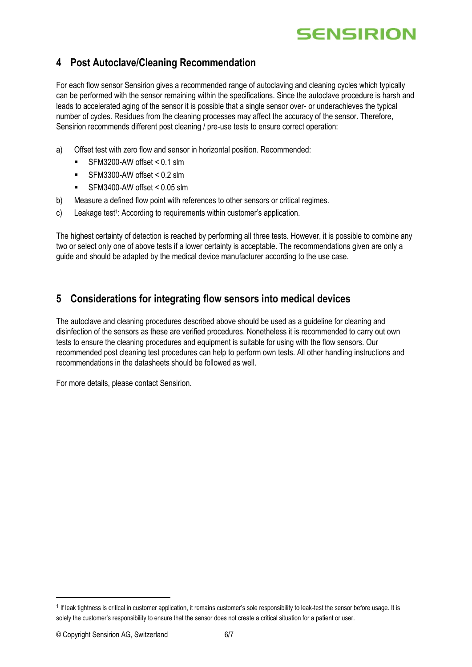## **4 Post Autoclave/Cleaning Recommendation**

For each flow sensor Sensirion gives a recommended range of autoclaving and cleaning cycles which typically can be performed with the sensor remaining within the specifications. Since the autoclave procedure is harsh and leads to accelerated aging of the sensor it is possible that a single sensor over- or underachieves the typical number of cycles. Residues from the cleaning processes may affect the accuracy of the sensor. Therefore, Sensirion recommends different post cleaning / pre-use tests to ensure correct operation:

- a) Offset test with zero flow and sensor in horizontal position. Recommended:
	- $SFM3200-AW$  offset  $< 0.1$  slm
	- $\blacksquare$  SFM3300-AW offset < 0.2 slm
	- SFM3400-AW offset < 0.05 slm
- b) Measure a defined flow point with references to other sensors or critical regimes.
- c) Leakage test<sup>1</sup>: According to requirements within customer's application.

The highest certainty of detection is reached by performing all three tests. However, it is possible to combine any two or select only one of above tests if a lower certainty is acceptable. The recommendations given are only a guide and should be adapted by the medical device manufacturer according to the use case.

## **5 Considerations for integrating flow sensors into medical devices**

The autoclave and cleaning procedures described above should be used as a guideline for cleaning and disinfection of the sensors as these are verified procedures. Nonetheless it is recommended to carry out own tests to ensure the cleaning procedures and equipment is suitable for using with the flow sensors. Our recommended post cleaning test procedures can help to perform own tests. All other handling instructions and recommendations in the datasheets should be followed as well.

For more details, please contact Sensirion.

<sup>&</sup>lt;sup>1</sup> If leak tightness is critical in customer application, it remains customer's sole responsibility to leak-test the sensor before usage. It is solely the customer's responsibility to ensure that the sensor does not create a critical situation for a patient or user.